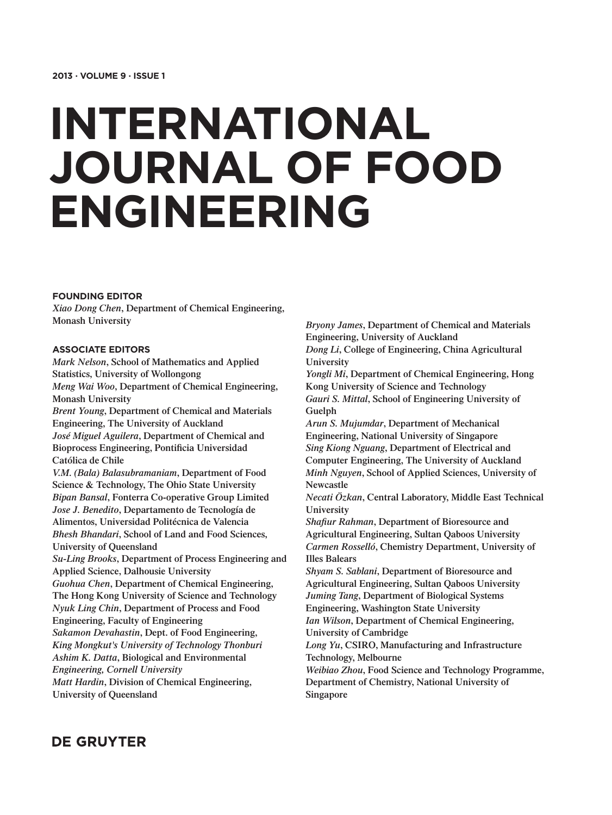# **INTERNATIONAL JOURNAL OF FOOD ENGINEERING**

#### **FOUNDING EDITOR**

*Xiao Dong Chen***, Department of Chemical Engineering, Monash University**

#### **ASSOCIATE EDITORS**

*Mark Nelson***, School of Mathematics and Applied Statistics, University of Wollongong** *Meng Wai Woo***, Department of Chemical Engineering, Monash University** *Brent Young***, Department of Chemical and Materials Engineering, The University of Auckland** *José Miguel Aguilera***, Department of Chemical and Bioprocess Engineering, Pontificia Universidad Católica de Chile** *V.M. (Bala) Balasubramaniam***, Department of Food Science & Technology, The Ohio State University** *Bipan Bansal***, Fonterra Co-operative Group Limited** *Jose J. Benedito***, Departamento de Tecnología de Alimentos, Universidad Politécnica de Valencia** *Bhesh Bhandari***, School of Land and Food Sciences, University of Queensland** *Su-Ling Brooks***, Department of Process Engineering and Applied Science, Dalhousie University** *Guohua Chen***, Department of Chemical Engineering, The Hong Kong University of Science and Technology** *Nyuk Ling Chin***, Department of Process and Food Engineering, Faculty of Engineering** *Sakamon Devahastin***, Dept. of Food Engineering,**  *King Mongkut's University of Technology Thonburi Ashim K. Datta***, Biological and Environmental**  *Engineering, Cornell University Matt Hardin***, Division of Chemical Engineering, University of Queensland**

*Bryony James***, Department of Chemical and Materials Engineering, University of Auckland** *Dong Li***, College of Engineering, China Agricultural University** *Yongli Mi***, Department of Chemical Engineering, Hong Kong University of Science and Technology**

*Gauri S. Mittal***, School of Engineering University of Guelph**

*Arun S. Mujumdar***, Department of Mechanical Engineering, National University of Singapore** *Sing Kiong Nguang***, Department of Electrical and Computer Engineering, The University of Auckland** *Minh Nguyen***, School of Applied Sciences, University of Newcastle**

*Necati Özkan***, Central Laboratory, Middle East Technical University**

*Shafiur Rahman***, Department of Bioresource and Agricultural Engineering, Sultan Qaboos University** *Carmen Rosselló***, Chemistry Department, University of Illes Balears**

*Shyam S. Sablani***, Department of Bioresource and Agricultural Engineering, Sultan Qaboos University** *Juming Tang***, Department of Biological Systems** 

**Engineering, Washington State University** *Ian Wilson***, Department of Chemical Engineering, University of Cambridge**

*Long Yu***, CSIRO, Manufacturing and Infrastructure Technology, Melbourne**

*Weibiao Zhou***, Food Science and Technology Programme, Department of Chemistry, National University of Singapore**

### **DE GRUYTER**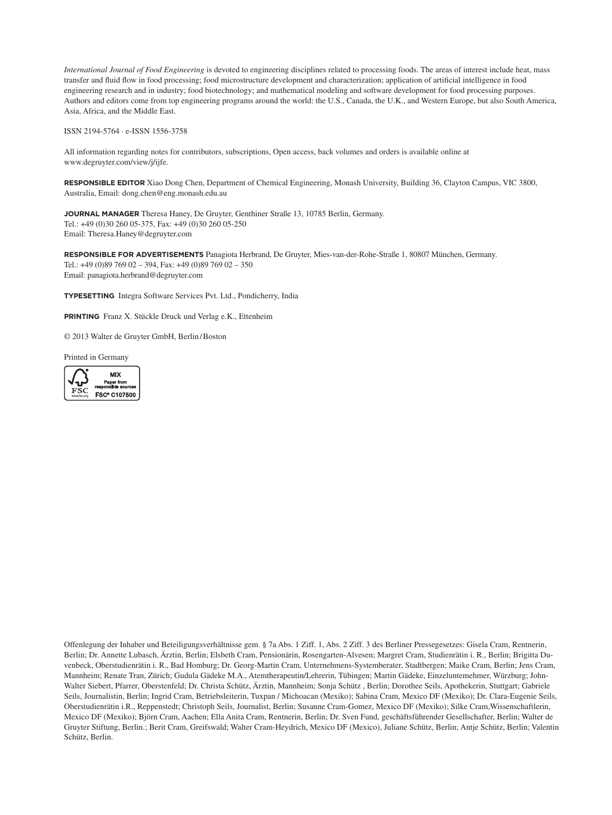*International Journal of Food Engineering* is devoted to engineering disciplines related to processing foods. The areas of interest include heat, mass transfer and fluid flow in food processing; food microstructure development and characterization; application of artificial intelligence in food engineering research and in industry; food biotechnology; and mathematical modeling and software development for food processing purposes. Authors and editors come from top engineering programs around the world: the U.S., Canada, the U.K., and Western Europe, but also South America, Asia, Africa, and the Middle East.

ISSN 2194-5764 ∙ e-ISSN 1556-3758

All information regarding notes for contributors, subscriptions, Open access, back volumes and orders is available online at www.degruyter.com/view/j/ijfe.

**RESPONSIBLE EDITOR** Xiao Dong Chen, Department of Chemical Engineering, Monash University, Building 36, Clayton Campus, VIC 3800, Australia, Email: dong.chen@eng.monash.edu.au

**JOURNAL MANAGER** Theresa Haney, De Gruyter, Genthiner Straße 13, 10785 Berlin, Germany. Tel.: +49 (0)30 260 05-375, Fax: +49 (0)30 260 05-250 Email: Theresa.Haney@degruyter.com

**RESPONSIBLE FOR ADVERTISEMENTS** Panagiota Herbrand, De Gruyter, Mies-van-der-Rohe-Straße 1, 80807 München, Germany. Tel.: +49 (0)89 769 02 – 394, Fax: +49 (0)89 769 02 – 350 Email: panagiota.herbrand@degruyter.com

**TYPESETTING** Integra Software Services Pvt. Ltd., Pondicherry, India

**PRINTING** Franz X. Stückle Druck und Verlag e.K., Ettenheim

© 2013 Walter de Gruyter GmbH, Berlin/Boston

Printed in Germany



Offenlegung der Inhaber und Beteiligungsverhältnisse gem. § 7a Abs. 1 Ziff. 1, Abs. 2 Ziff. 3 des Berliner Pressegesetzes: Gisela Cram, Rentnerin, Berlin; Dr. Annette Lubasch, Ärztin, Berlin; Elsbeth Cram, Pensionärin, Rosengarten-Alvesen; Margret Cram, Studienrätin i. R., Berlin; Brigitta Duvenbeck, Oberstudienrätin i. R., Bad Homburg; Dr. Georg-Martin Cram, Unternehmens-Systemberater, Stadtbergen; Maike Cram, Berlin; Jens Cram, Mannheim; Renate Tran, Zürich; Gudula Gädeke M.A., Atemtherapeutin/Lehrerin, Tübingen; Martin Gädeke, Einzeluntemehmer, Würzburg; John-Walter Siebert, Pfarrer, Oberstenfeld; Dr. Christa Schütz, Ärztin, Mannheim; Sonja Schütz , Berlin; Dorothee Seils, Apothekerin, Stuttgart; Gabriele Seils, Journalistin, Berlin; Ingrid Cram, Betriebsleiterin, Tuxpan / Michoacan (Mexiko); Sabina Cram, Mexico DF (Mexiko); Dr. Clara-Eugenie Seils, Oberstudienrätin i.R., Reppenstedt; Christoph Seils, Journalist, Berlin; Susanne Cram-Gomez, Mexico DF (Mexiko); Silke Cram,Wissenschaftlerin, Mexico DF (Mexiko); Björn Cram, Aachen; Ella Anita Cram, Rentnerin, Berlin; Dr. Sven Fund, geschäftsführender Gesellschafter, Berlin; Walter de Gruyter Stiftung, Berlin.; Berit Cram, Greifswald; Walter Cram-Heydrich, Mexico DF (Mexico), Juliane Schütz, Berlin; Antje Schütz, Berlin; Valentin Schütz, Berlin.